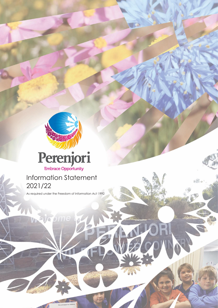

Shire of Perengo and Perengo and Perengo and Perengo and Perengo and Perengo and Perengo and Perengo and Peren

1

 $\Box$ 



# Information Statement 2021/22

As required under the Freedom of Information Act 1992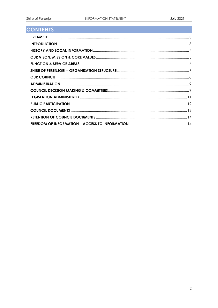## **CONTENTS**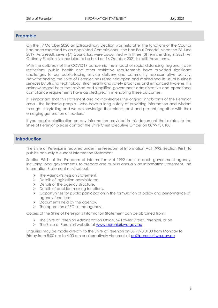#### <span id="page-2-0"></span>**Preamble**

On the 17 October 2020 an Extraordinary Election was held after the functions of the Council had been exercised by an appointed Commissioner, the Hon Paul Omodei, since the 26 June 2019. As a result, seven (7) Councillors were appointed with three (3) terms ending in 2021. An Ordinary Election is scheduled to be held on 16 October 2021 to refill these terms.

With the outbreak of the COVID19 pandemic the impact of social distancing, regional travel restrictions, public health and other restrictive requirements have provided significant challenges to our public-facing service delivery and community representative activity. Notwithstanding the Shire of Perenjori has remained open and maintained its usual business services by utilising technology, strict health and safety practices and enhanced hygiene. It is acknowledged here that revised and simplified government administrative and operational compliance requirements have assisted greatly in enabling these outcomes.

It is important that this statement also acknowledges the original inhabitants of the Perenjori area - the Badymia people - who have a long history of providing information and wisdom through storytelling and we acknowledge their elders, past and present, together with their emerging generation of leaders."

If you require clarification on any information provided in this document that relates to the Shire of Perenjori please contact the Shire Chief Executive Officer on 08 9973 0100.

## <span id="page-2-1"></span>**Introduction**

The Shire of Perenjori is required under the Freedom of Information Act 1992, Section 96(1) to publish annually a current Information Statement.

Section 96(1) of the Freedom of Information Act 1992 requires each government agency, including local governments, to prepare and publish annually an Information Statement. The Information Statement must set out:

- ➢ The Agency's Mission Statement.
- ➢ Details of legislation administered.
- ➢ Details of the agency structure.
- ➢ Details of decision‐making functions.
- $\triangleright$  Opportunities for public participation in the formulation of policy and performance of agency functions.
- ➢ Documents held by the agency.
- ➢ The operation of FOI in the agency.

Copies of the Shire of Perenjori's Information Statement can be obtained from:

- ➢ The Shire of Perenjori Administration Office, 56 Fowler Street, Perenjori, or on
- > The Shire of Perenjori website at [www.perenjori.wa.gov.au](http://www.perenjori.wa.gov.au/)

Enquiries may be made directly to the Shire of Perenjori on 08 9973 0100 from Monday to Friday from 8:00 am to 4:00 pm or alternatively via email at [ea@perenjori.wa.gov.au](mailto:ea@perenjori.wa.gov.au)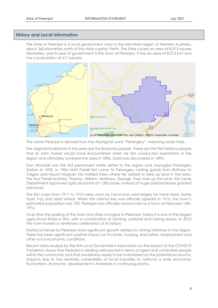## <span id="page-3-0"></span>**History and Local Information**

The Shire of Perenjori is a local government area in the Mid-West region of Western Australia, about 360 kilometres north of the state capital, Perth. The Shire covers an area of 8,313 square kilometres, and its seat of government is the town of Perenjori. It has an area of 8,313 km<sup>2</sup> and has a population of 617 people.



The name Perenjori is derived from the Aboriginal word "Perangery", meaning water hole.

The original inhabitants of the area are the Badymia people. These are the First Nations people that Sir John Forrest would have encountered when he first conducted exploration in the region and ultimately surveyed the area in 1896. Gold was discovered in 1894.

Dan Woodall was the first permanent white settler to the region and managed Perangery Station in 1905. In 1906 Matt Farrell first came to Perangery carting goods from Rothsay to Yalgoo and Mount Magnet. He marked trees where he wished to take up land in the area. The four Farrell brothers, Thomas, William, Matthew, George, then took up the land. The Lands Department approved agricultural lots of 1,000 acres, instead of huge pastoral leases granted previously.

The first crops from 1911 to 1913 were sown by hand and used largely for horse feed, home food, hay and seed wheat. When the railway line was officially opened in 1915, the town's estimated population was 100. Perenjori was officially announced as a town on February 16th, 1916.

Over time the spelling of the town and shire changed to Perenjori. Today it is one of the largest agricultural Shires in WA, with a combination of farming, pastoral and mining leases. In 2012 the town hosted a centenary celebration of its history.

Statistical trends for Perenjori show significant growth related to mining initiatives in the region. There has been significant positive impact on incomes, housing, education, employment and other socio-economic conditions.

Recent data analysis by the WA Local Government Association on the impact of the COVID19 Pandemic shows that Perenjori is dealing well placed in terms of aged and vulnerable people within the community and that awareness needs to be maintained on the potential economic impacts due to the relatively vulnerability of local industries to national a state economic fluctuations. Economic development is therefore a continuing priority..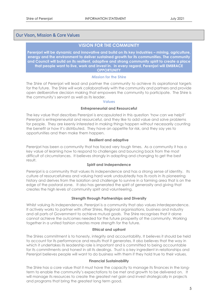## <span id="page-4-0"></span>Our Vison, Mission & Core Values

## **VISION FOR THE COMMUNITY**

**Perenjori will be dynamic and innovative and build on its key industries – mining, agriculture, energy and the environment to deliver sustained growth for its communities. The community and Council will build on its resilient, adaptive and strong community spirit to create a place that people want to live, work and invest in. In every regard, Perenjori will EMBRACE OPPORTUNITY**

#### **Mission for the Shire**

The Shire of Perenjori will lead and partner the community to achieve its aspirational targets for the future. The Shire will work collaboratively with the community and partners and provide open deliberative decision making that empowers the community to participate. The Shire is the community's servant as well as its leader.

#### **Values**

#### **Entrepreneurial and Resourceful**

The key value that describes Perenjori is encapsulated in this question 'how can we help?' Perenjori is entrepreneurial and resourceful, and they like to add value and solve problems for people. They are keenly interested in making things happen without necessarily counting the benefit or how it's distributed. They have an appetite for risk, and they say yes to opportunities and then make them happen.

#### **Resilient and adaptive**

Perenjori has been a community that has faced very tough times. As a community it has a key value of learning how to respond to challenges and bouncing back from the most difficult of circumstances. It believes strongly in adapting and changing to get the best result.

#### **Spirit and Independence**

Perenjori is a community that values its independence and has a strong sense of identity. Its culture of resourcefulness and valuing hard work undoubtedly has its roots in its pioneering history and derives from the isolation and challenge to survive in a farming area that is on the edge of the pastoral zone. It also has generated the spirit of generosity and giving that creates the high levels of community spirit and volunteering.

#### **Strength through Partnerships and Diversity**

Whilst valuing its independence, Perenjori is a community that also values interdependence. It actively works to partner with other Shires, Regional organisations, business and industry and all parts of Government to achieve mutual goals. The Shire recognises that it alone cannot achieve the outcomes needed for the future prosperity of the community. Working together in a united fashion creates more strength for the future.

#### **Ethical and upfront**

The Shires commitment is to honesty, integrity and accountability. It believes it should be held to account for its performance and results that it generates. It also believes that the way in which it undertakes its leadership role is important and is committed to being accountable for its commitments and honest in all its dealings. Trust is a key ingredient in relationships and Perenjori believes people will want to do business with them if they hold true to their values.

#### **Financial Sustainability**

The Shire has a core value that it must have the capacity to manage its finances in the longterm to enable the community's expectations to be met and growth to be delivered on. It will manage its resources to create the greatest net gain and invest strategically in projects and programs that bring the greatest long term good.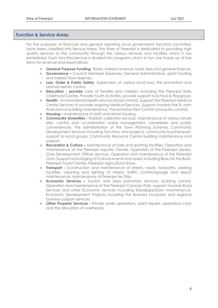## <span id="page-5-0"></span>**Function & Service Areas**

For the purposes of financial and general reporting local government functions (activities) have been classified into Service Areas. The Shire of Perenjori is dedicated to providing high quality services to the community through the various services and facilities which it has established. Each function/service is divided into programs which in turn are made up of line items for revenue and expenditure.

- ➢ **General Purpose Funding** -Rates, interest revenue, bank fees and general finance.
- ➢ **Governance –** Council Members Expenses, General Administrative, grant funding and interest from reserves.
- ➢ **Law, Order & Public Safety** -Supervision of various local laws, fire prevention and animal/vermin control.
- ➢ **Education - provide** care of families and children including the Perenjori Early Childhood Centre, Provide Youth Activities, provide support to School & Playgroup.
- ➢ **Health -** Environmental Health services (food control), Support the Perenjori Medical Centre Services to provide ongoing Medical Services, Support towards the St John Ambulance building maintenance, Preventative Pest Control (mosquito control).
- ➢ **Housing –** maintenance of staff and rental housing.
- ➢ **Community Amenities -** Rubbish collection services, maintenance of various refuse sites, control and co-ordination waste management, cemeteries and public conveniences. The administration of the Town Planning Scheme. Community Development Services including functions and projects, community bus/transport, support to local groups, Community Resource Centre building maintenance and support.
- ➢ **Recreation & Culture –** Maintenance of halls and sporting facilities. Operation and maintenance of the Perenjori Aquatic Centre. Operation of the Perenjori Library. Club Development Officer services. Operation and maintenance of the Perenjori Gym. Support and staging of Cultural events and assets including Blues for the Bush, Perenjori Tourist Centre, Perenjori Agricultural Show.
- ➢ **Transport -** Construction and maintenance of streets, roads, footpaths, parking facilities, cleaning and lighting of streets, traffic control/signage and depot maintenance. Maintenance of Perenjori Air Strip.
- ➢ **Economic Services –** Tourism and area promotion services, building control, Operation and maintenance of the Perenjori Caravan Park, support towards Rural Services and other Economic services including Standpipe/Dam maintenance. Economic Development Projects including the Business Incubator and regional business support services.
- ➢ **Other Property Services -** Private works operations, plant repairs, operations costs and the allocation of overheads.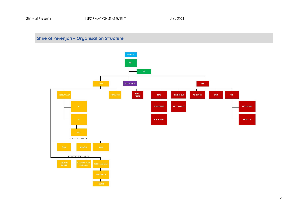## **Shire of Perenjori – Organisation Structure**

<span id="page-6-0"></span>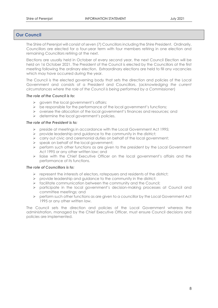## <span id="page-7-0"></span>**Our Council**

The Shire of Perenjori will consist of seven (7) Councillors including the Shire President. Ordinarily, Councillors are elected for a four-year term with four members retiring in one election and remaining Councillors retiring at the next.

Elections are usually held in October of every second year, the next Council Election will be held on 16 October 2021. The President of the Council is elected by the Councillors at the first meeting following the ordinary election. Extraordinary elections are held to fill any vacancies which may have occurred during the year.

The Council is the elected governing body that sets the direction and policies of the Local Government and consists of a President and Councillors, (*acknowledging the current circumstances where the role of the Council is being performed by a Commissioner*)

#### *The role of the Council is to:*

- $\triangleright$  govern the local government's affairs;
- ➢ be responsible for the performance of the local government's functions;
- ➢ oversee the allocation of the local government's finances and resources; and
- ➢ determine the local government's policies.

#### *The role of the President is to:*

- ➢ preside at meetings in accordance with the Local Government Act 1995;
- $\triangleright$  provide leadership and guidance to the community in the district;
- ➢ carry out civic and ceremonial duties on behalf of the local government;
- ➢ speak on behalf of the local government;
- ➢ perform such other functions as are given to the president by the Local Government Act 1995 or any other written law; and
- ➢ liaise with the Chief Executive Officer on the local government's affairs and the performance of its functions.

#### *The role of Councillors is to:*

- $\triangleright$  represent the interests of electors, ratepayers and residents of the district;<br> $\triangleright$  provide leadership and guidance to the community in the district;
- ➢ provide leadership and guidance to the community in the district;
- ➢ facilitate communication between the community and the Council;
- ➢ participate in the local government's decision-making processes at Council and committee meetings; and
- ➢ perform such other functions as are given to a councillor by the Local Government Act 1995 or any other written law.

The Council sets the direction and policies of the Local Government whereas the administration, managed by the Chief Executive Officer, must ensure Council decisions and policies are implemented.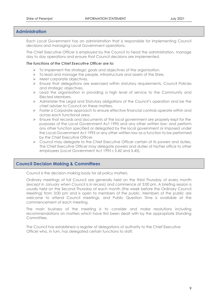## <span id="page-8-0"></span>**Administration**

Each Local Government has an administration that is responsible for implementing Council decisions and managing Local Government operations.

The Chief Executive Officer is employed by the Council to head the administration, manage day to day operations and ensure that Council decisions are implemented.

#### *The functions of the Chief Executive Officer are to:*

- ➢ To implement the strategic goals and objectives of the organisation.
- $\triangleright$  To lead and manage the people, infrastructure and assets of the Shire.
- ➢ Meet corporate objectives.
- ➢ Ensure that delegations are exercised within statutory requirements, Council Policies and strategic objectives.
- ➢ Lead the organisation in providing a high level of service to the Community and Elected Members.
- ➢ Administer the Legal and Statutory obligations of the Council's operation and be the chief adviser to Council on these matters.
- ➢ Foster a Corporate approach to ensure effective financial controls operate within and across each functional area.
- ➢ Ensure that records and documents of the local government are properly kept for the purposes of the Local Government Act 1995 and any other written law; and perform any other function specified or delegated by the local government or imposed under the Local Government Act 1995 or any other written law as a function to be performed by the Chief Executive Officer.
- ➢ Council may delegate to the Chief Executive Officer certain of its powers and duties. The Chief Executive Officer may delegate powers and duties of his/her office to other employees (Local Government Act 1995 s 5.42 and 5.45).

## <span id="page-8-1"></span>**Council Decision Making & Committees**

Council is the decision-making body for all policy matters.

Ordinary meetings of full Council are generally held on the third Thursday of every month (*except in January when Council is in recess*) and commence at 3:00 pm. A briefing session is usually held on the Second Thursday of each month (the week before the Ordinary Council Meeting) from 3:00 pm and is open to members of the public. Members of the public are welcome to attend Council meetings, and Public Question Time is available at the commencement of each meeting.

The main business of the meeting is to consider and make resolutions including recommendations on matters which have first been dealt with by the appropriate Standing Committee.

The Council has established a register of delegations of authority to the Chief Executive Officer who, in turn, has delegated certain functions to staff.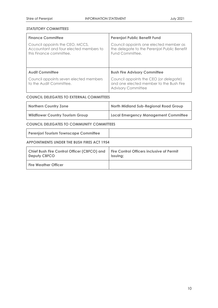## *STATUTORY COMMITTEES*

| <b>Finance Committee</b>                                                                             | Perenjori Public Benefit Fund                                                                                  |
|------------------------------------------------------------------------------------------------------|----------------------------------------------------------------------------------------------------------------|
| Council appoints the CEO, MCCS,<br>Accountant and four elected members to<br>this Finance committee. | Council appoints one elected member as<br>the delegate to the Perenjori Public Benefit<br>Fund Committee.      |
| <b>Audit Committee</b>                                                                               | <b>Bush Fire Advisory Committee</b>                                                                            |
| Council appoints seven elected members<br>to the Audit Committee.                                    | Council appoints the CEO (or delegate)<br>and one elected member to the Bush Fire<br><b>Advisory Committee</b> |

## **COUNCIL DELEGATES TO EXTERNAL COMMITTEES**

| <b>Northern Country Zone</b>            | North Midland Sub-Regional Road Group |
|-----------------------------------------|---------------------------------------|
| <b>Wildflower Country Tourism Group</b> | Local Emergency Management Committee  |

**COUNCIL DELEGATES TO COMMUNITY COMMITTEES**

**Perenjori Tourism Townscape Committee**

#### **APPOINTMENTS UNDER THE BUSH FIRES ACT 1954**

| <b>Chief Bush Fire Control Officer (CBFCO) and</b> | <b>Fire Control Officers inclusive of Permit</b> |
|----------------------------------------------------|--------------------------------------------------|
| <b>Deputy CBFCO</b>                                | Issuing;                                         |
| <b>Fire Weather Officer</b>                        |                                                  |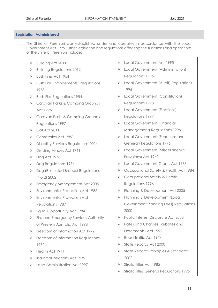#### <span id="page-10-0"></span>**Legislation Administered**

The Shire of Perenjori was established under and operates in accordance with the Local Government Act 1995. Other legislation and regulations affecting the functions and operations of the Shire of Perenjori include:

- ➢ Building Act 2011
- ➢ Building Regulations 2012
- ➢ Bush Fires Act 1954
- ➢ Bush Fire (Infringements) Regulations 1978
- ➢ Bush Fire Regulations 1954
- ➢ Caravan Parks & Camping Grounds Act 1995
- ➢ Caravan Parks & Camping Grounds Regulations 1997
- $\triangleright$  Cat Act 2011
- ➢ Cemeteries Act 1986
- ➢ Disability Services Regulations 2004
- ➢ Dividing Fences Act 1961
- ➢ Dog Act 1976
- ➢ Dog Regulations 1976
- ➢ Dog (Restricted Breeds) Regulations (No 2) 2002
- ➢ Emergency Management Act 2005
- ➢ Environmental Protection Act 1986
- ➢ Environmental Protection Act Regulations 1987
- ➢ Equal Opportunity Act 1984
- ➢ Fire and Emergency Services Authority of Western Australia Act 1998
- ➢ Freedom of Information Act 1992
- ➢ Freedom of Information Regulations 1972
- ➢ Health Act 1911
- ➢ Industrial Relations Act 1979
- ➢ Land Administration Act 1997
- ➢ Local Government Act 1995
- ➢ Local Government (Administration) Regulations 1996
- ➢ Local Government (Audit) Regulations 1996
- ➢ Local Government (Constitution) Regulations 1998
- ➢ Local Government (Elections) Regulations 1997
- ➢ Local Government (Financial Management) Regulations 1996
- ➢ Local Government (Functions and General) Regulations 1996
- ➢ Local Government (Miscellaneous Provisions) Act 1960
- ➢ Local Government Grants Act 1978
- ➢ Occupational Safety & Health Act 1984
- ➢ Occupational Safety & Health Regulations 1996
- ➢ Planning & Development Act 2005
- ➢ Planning & Development (Local Government Planning Fees) Regulations 2000
- ➢ Public Interest Disclosure Act 2003
- ➢ Rates and Charges (Rebates and Deferments) Act 1992
- ➢ Road Traffic Act 1974
- ➢ State Records Act 2000
- ➢ State Records Principles & Standards 2002
- ➢ Strata Titles Act 1985
- ➢ Strata Titles General Regulations 1996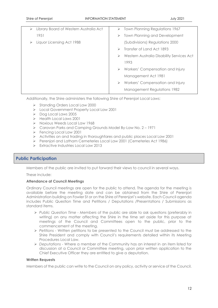| Library Board of Western Australia Act<br>⋗ | $\triangleright$ Town Planning Regulations 1967 |
|---------------------------------------------|-------------------------------------------------|
| 1951                                        | <b>Town Planning and Development</b>            |
| Liquor Licensing Act 1988                   | (Subdivisions) Regulations 2000                 |
|                                             | Transfer of Land Act 1893                       |
|                                             | Western Australia Disability Services Act<br>➤  |
|                                             | 1993                                            |
|                                             | Workers' Compensation and Injury<br>➤           |
|                                             | Management Act 1981                             |
|                                             | Workers' Compensation and Injury                |
|                                             | <b>Management Regulations 1982</b>              |
|                                             |                                                 |

Additionally, the Shire administers the following Shire of Perenjori Local Laws:

- ➢ Standing Orders Local Law 2000
- ➢ Local Government Property Local Law 2001
- ➢ Dog Local Laws 2005
- ➢ Health Local Laws 2001
- ➢ Noxious Weeds Local Law 1968
- ➢ Caravan Parks and Camping Grounds Model By-Law No. 2 1971
- ➢ Fencing Local Law 2001
- ➢ Activities on and trading in thoroughfares and public places Local Law 2001
- ➢ Perenjori and Latham Cemeteries Local Law 2001 (Cemeteries Act 1986)
- ➢ Extractive Industries Local Law 2013

## <span id="page-11-0"></span>**Public Participation**

Members of the public are invited to put forward their views to council in several ways.

These include:

#### **Attendance at Council Meetings**

Ordinary Council meetings are open for the public to attend. The agenda for the meeting is available before the meeting date and can be obtained from the Shire of Perenjori Administration building on Fowler St or on the Shire of Perenjori's website. Each Council agenda includes Public Question Time and Petitions / Deputations /Presentations / Submissions as standard items.

- ➢ *Public Question Time - Members* of the public are able to ask questions (preferably in writing) on any matter affecting the Shire in the time set aside for this purpose at meetings of the Council and Committees open to the public, prior to the commencement of the meeting.
- ➢ *Petitions -* Written petitions to be presented to the Council must be addressed to the Shire President and comply with Council's requirements detailed within its Meeting Procedures Local Law.
- ➢ *Deputations -* Where a member of the Community has an interest in an item listed for discussion at a Council or Committee meeting, upon prior written application to the Chief Executive Officer they are entitled to give a deputation.

#### **Written Requests**

Members of the public can write to the Council on any policy, activity or service of the Council.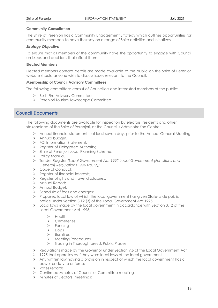#### **Community Consultation**

The Shire of Perenjori has a Community Engagement Strategy which outlines opportunities for community members to have their say on a range of Shire activities and initiatives.

#### *Strategy Objective*

To ensure that all members of the community have the opportunity to engage with Council on issues and decisions that affect them.

#### **Elected Members**

Elected members contact details are made available to the public on the Shire of Perenjori website should anyone wish to discuss issues relevant to the Council.

#### **Membership of Council Advisory Committees**

The following committees consist of Councillors and interested members of the public:

- ➢ Bush Fire Advisory Committee
- ➢ Perenjori Tourism Townscape Committee

## <span id="page-12-0"></span>**Council Documents**

The following documents are available for inspection by electors, residents and other stakeholders of the Shire of Perenjori, at the Council's Administration Centre:

- ➢ Annual financial statement at least seven days prior to the Annual General Meeting;
- ➢ Annual budget;
- ➢ FOI Information Statement;
- ➢ Register of Delegated Authority;
- ➢ Shire of Perenjori Local Planning Scheme;
- ➢ Policy Manual;
- ➢ Tender Register *(Local Government Act 1995 Local Government (Functions and General) Regulations 1996 No.17);*
- ➢ Code of Conduct;
- ➢ Register of financial interests;
- ➢ Register of gifts and travel disclosures;
- ➢ Annual Report;
- ➢ Annual Budget;
- ➢ Schedule of fees and charges;
- ➢ Proposed local law of which the local government has given State‐wide public notice under Section 3.12 (3) of the Local Government Act 1995;
- $\triangleright$  Local laws made by the local government in accordance with Section 3.12 of the Local Government Act 1995;
	- ➢ Health
	- ➢ Cemeteries
	- ➢ Fencing
	- ➢ Dogs
	- ➢ Bushfires
	- ➢ Meeting Procedures
	- ➢ Trading in Thoroughfares & Public Places
- ➢ Regulations made by the Governor under Section 9.6 of the Local Government Act
- $\geq$  1995 that operates as if they were local laws of the local government.
- $\triangleright$  Any written law having a provision in respect of which the local government has a power or duty to enforce;
- ➢ Rates records;
- ➢ Confirmed Minutes of Council or Committee meetings;
- ➢ Minutes of Electors' meetings;